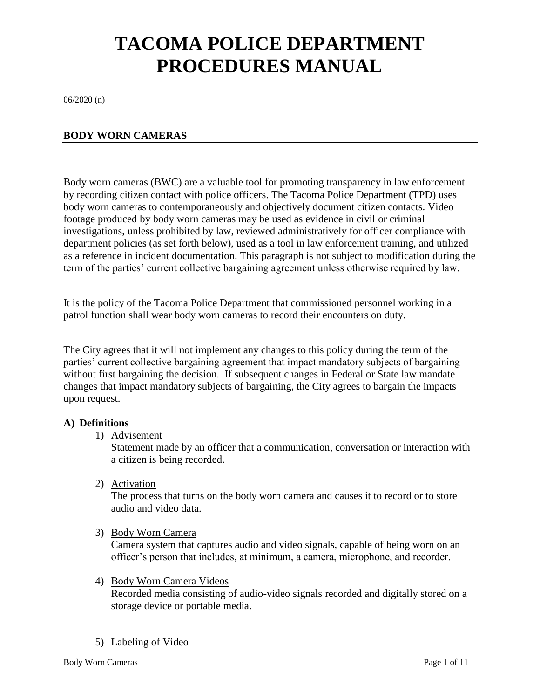# **TACOMA POLICE DEPARTMENT PROCEDURES MANUAL**

06/2020 (n)

#### **BODY WORN CAMERAS**

Body worn cameras (BWC) are a valuable tool for promoting transparency in law enforcement by recording citizen contact with police officers. The Tacoma Police Department (TPD) uses body worn cameras to contemporaneously and objectively document citizen contacts. Video footage produced by body worn cameras may be used as evidence in civil or criminal investigations, unless prohibited by law, reviewed administratively for officer compliance with department policies (as set forth below), used as a tool in law enforcement training, and utilized as a reference in incident documentation. This paragraph is not subject to modification during the term of the parties' current collective bargaining agreement unless otherwise required by law.

It is the policy of the Tacoma Police Department that commissioned personnel working in a patrol function shall wear body worn cameras to record their encounters on duty.

The City agrees that it will not implement any changes to this policy during the term of the parties' current collective bargaining agreement that impact mandatory subjects of bargaining without first bargaining the decision. If subsequent changes in Federal or State law mandate changes that impact mandatory subjects of bargaining, the City agrees to bargain the impacts upon request.

#### **A) Definitions**

1) Advisement

Statement made by an officer that a communication, conversation or interaction with a citizen is being recorded.

2) Activation

The process that turns on the body worn camera and causes it to record or to store audio and video data.

3) Body Worn Camera

Camera system that captures audio and video signals, capable of being worn on an officer's person that includes, at minimum, a camera, microphone, and recorder.

4) Body Worn Camera Videos

Recorded media consisting of audio-video signals recorded and digitally stored on a storage device or portable media.

5) Labeling of Video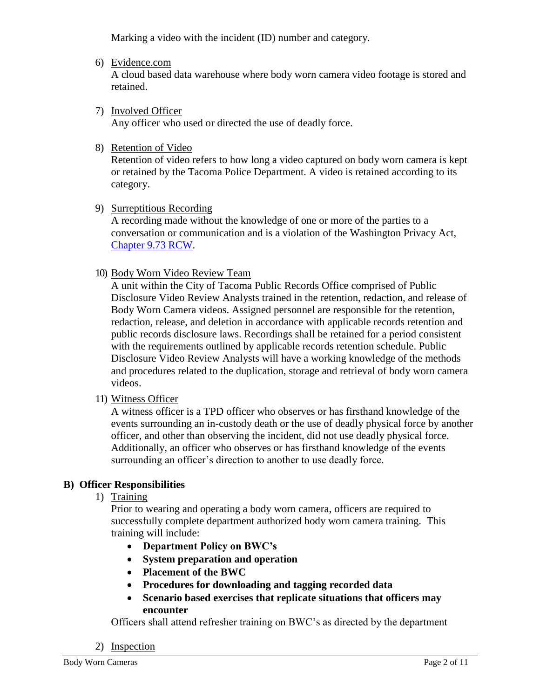Marking a video with the incident (ID) number and category.

6) Evidence.com

A cloud based data warehouse where body worn camera video footage is stored and retained.

7) Involved Officer

Any officer who used or directed the use of deadly force.

8) Retention of Video

Retention of video refers to how long a video captured on body worn camera is kept or retained by the Tacoma Police Department. A video is retained according to its category.

9) Surreptitious Recording

A recording made without the knowledge of one or more of the parties to a conversation or communication and is a violation of the Washington Privacy Act, [Chapter 9.73 RCW.](https://app.leg.wa.gov/RCW/default.aspx?cite=9.73&full=true#:~:text=030%20is%20guilty%20of%20a,271%20%C2%A7%20209%3B%201967%20ex.)

10) Body Worn Video Review Team

A unit within the City of Tacoma Public Records Office comprised of Public Disclosure Video Review Analysts trained in the retention, redaction, and release of Body Worn Camera videos. Assigned personnel are responsible for the retention, redaction, release, and deletion in accordance with applicable records retention and public records disclosure laws. Recordings shall be retained for a period consistent with the requirements outlined by applicable records retention schedule. Public Disclosure Video Review Analysts will have a working knowledge of the methods and procedures related to the duplication, storage and retrieval of body worn camera videos.

11) Witness Officer

A witness officer is a TPD officer who observes or has firsthand knowledge of the events surrounding an in-custody death or the use of deadly physical force by another officer, and other than observing the incident, did not use deadly physical force. Additionally, an officer who observes or has firsthand knowledge of the events surrounding an officer's direction to another to use deadly force.

#### **B) Officer Responsibilities**

1) Training

Prior to wearing and operating a body worn camera, officers are required to successfully complete department authorized body worn camera training. This training will include:

- **Department Policy on BWC's**
- **System preparation and operation**
- **Placement of the BWC**
- **Procedures for downloading and tagging recorded data**
- **Scenario based exercises that replicate situations that officers may encounter**

Officers shall attend refresher training on BWC's as directed by the department

2) Inspection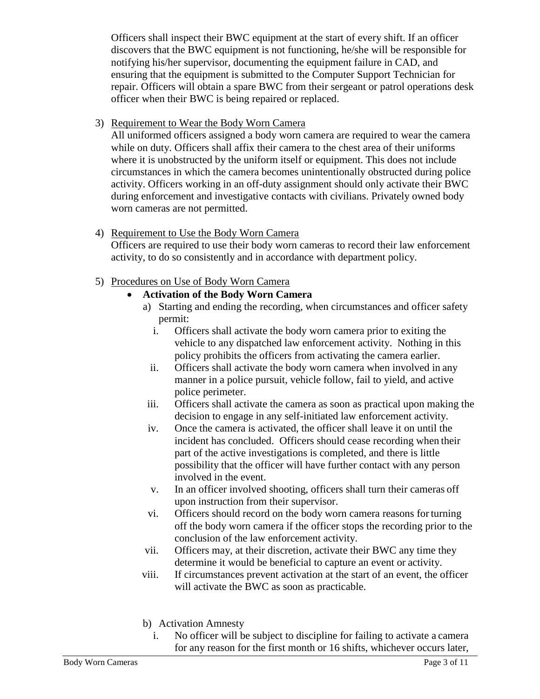Officers shall inspect their BWC equipment at the start of every shift. If an officer discovers that the BWC equipment is not functioning, he/she will be responsible for notifying his/her supervisor, documenting the equipment failure in CAD, and ensuring that the equipment is submitted to the Computer Support Technician for repair. Officers will obtain a spare BWC from their sergeant or patrol operations desk officer when their BWC is being repaired or replaced.

## 3) Requirement to Wear the Body Worn Camera

All uniformed officers assigned a body worn camera are required to wear the camera while on duty. Officers shall affix their camera to the chest area of their uniforms where it is unobstructed by the uniform itself or equipment. This does not include circumstances in which the camera becomes unintentionally obstructed during police activity. Officers working in an off-duty assignment should only activate their BWC during enforcement and investigative contacts with civilians. Privately owned body worn cameras are not permitted.

## 4) Requirement to Use the Body Worn Camera

Officers are required to use their body worn cameras to record their law enforcement activity, to do so consistently and in accordance with department policy.

## 5) Procedures on Use of Body Worn Camera

## **Activation of the Body Worn Camera**

- a) Starting and ending the recording, when circumstances and officer safety permit:
	- i. Officers shall activate the body worn camera prior to exiting the vehicle to any dispatched law enforcement activity. Nothing in this policy prohibits the officers from activating the camera earlier.
	- ii. Officers shall activate the body worn camera when involved in any manner in a police pursuit, vehicle follow, fail to yield, and active police perimeter.
- iii. Officers shall activate the camera as soon as practical upon making the decision to engage in any self-initiated law enforcement activity.
- iv. Once the camera is activated, the officer shall leave it on until the incident has concluded. Officers should cease recording when their part of the active investigations is completed, and there is little possibility that the officer will have further contact with any person involved in the event.
- v. In an officer involved shooting, officers shall turn their cameras off upon instruction from their supervisor.
- vi. Officers should record on the body worn camera reasons forturning off the body worn camera if the officer stops the recording prior to the conclusion of the law enforcement activity.
- vii. Officers may, at their discretion, activate their BWC any time they determine it would be beneficial to capture an event or activity.
- viii. If circumstances prevent activation at the start of an event, the officer will activate the BWC as soon as practicable.
- b) Activation Amnesty
	- i. No officer will be subject to discipline for failing to activate a camera for any reason for the first month or 16 shifts, whichever occurs later,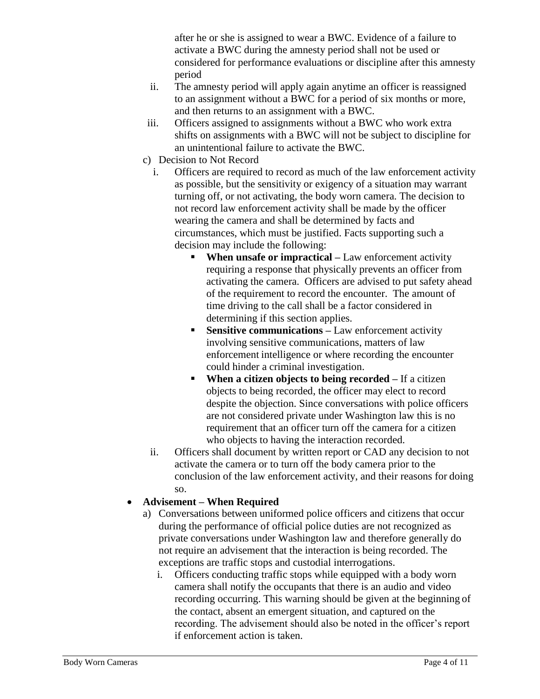after he or she is assigned to wear a BWC. Evidence of a failure to activate a BWC during the amnesty period shall not be used or considered for performance evaluations or discipline after this amnesty period

- ii. The amnesty period will apply again anytime an officer is reassigned to an assignment without a BWC for a period of six months or more, and then returns to an assignment with a BWC.
- iii. Officers assigned to assignments without a BWC who work extra shifts on assignments with a BWC will not be subject to discipline for an unintentional failure to activate the BWC.
- c) Decision to Not Record
	- i. Officers are required to record as much of the law enforcement activity as possible, but the sensitivity or exigency of a situation may warrant turning off, or not activating, the body worn camera. The decision to not record law enforcement activity shall be made by the officer wearing the camera and shall be determined by facts and circumstances, which must be justified. Facts supporting such a decision may include the following:
		- **When unsafe or impractical** Law enforcement activity requiring a response that physically prevents an officer from activating the camera. Officers are advised to put safety ahead of the requirement to record the encounter. The amount of time driving to the call shall be a factor considered in determining if this section applies.
		- **Sensitive communications –** Law enforcement activity involving sensitive communications, matters of law enforcement intelligence or where recording the encounter could hinder a criminal investigation.
		- **When a citizen objects to being recorded –** If a citizen objects to being recorded, the officer may elect to record despite the objection. Since conversations with police officers are not considered private under Washington law this is no requirement that an officer turn off the camera for a citizen who objects to having the interaction recorded.
	- ii. Officers shall document by written report or CAD any decision to not activate the camera or to turn off the body camera prior to the conclusion of the law enforcement activity, and their reasons for doing so.

# **Advisement – When Required**

- a) Conversations between uniformed police officers and citizens that occur during the performance of official police duties are not recognized as private conversations under Washington law and therefore generally do not require an advisement that the interaction is being recorded. The exceptions are traffic stops and custodial interrogations.
	- i. Officers conducting traffic stops while equipped with a body worn camera shall notify the occupants that there is an audio and video recording occurring. This warning should be given at the beginning of the contact, absent an emergent situation, and captured on the recording. The advisement should also be noted in the officer's report if enforcement action is taken.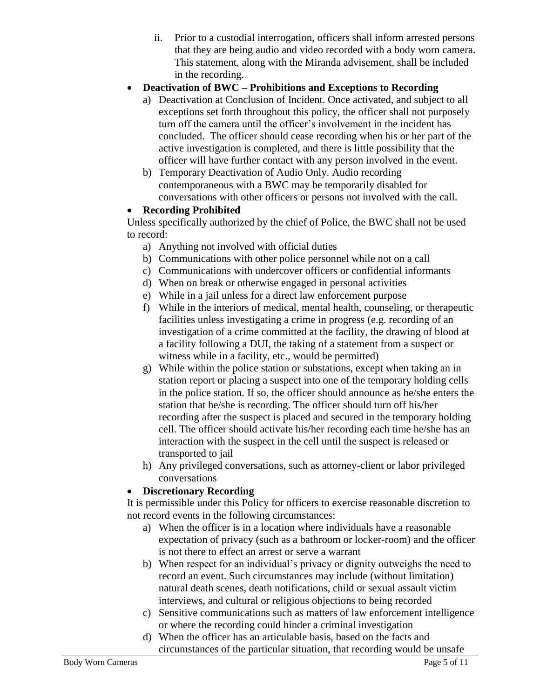ii. Prior to a custodial interrogation, officers shall inform arrested persons that they are being audio and video recorded with a body worn camera. This statement, along with the Miranda advisement, shall be included in the recording.

# **Deactivation of BWC – Prohibitions and Exceptions to Recording**

- a) Deactivation at Conclusion of Incident. Once activated, and subject to all exceptions set forth throughout this policy, the officer shall not purposely turn off the camera until the officer's involvement in the incident has concluded. The officer should cease recording when his or her part of the active investigation is completed, and there is little possibility that the officer will have further contact with any person involved in the event.
- b) Temporary Deactivation of Audio Only. Audio recording contemporaneous with a BWC may be temporarily disabled for conversations with other officers or persons not involved with the call.

## **Recording Prohibited**

Unless specifically authorized by the chief of Police, the BWC shall not be used to record:

- a) Anything not involved with official duties
- b) Communications with other police personnel while not on a call
- c) Communications with undercover officers or confidential informants
- d) When on break or otherwise engaged in personal activities
- e) While in a jail unless for a direct law enforcement purpose
- f) While in the interiors of medical, mental health, counseling, or therapeutic facilities unless investigating a crime in progress (e.g. recording of an investigation of a crime committed at the facility, the drawing of blood at a facility following a DUI, the taking of a statement from a suspect or witness while in a facility, etc., would be permitted)
- g) While within the police station or substations, except when taking an in station report or placing a suspect into one of the temporary holding cells in the police station. If so, the officer should announce as he/she enters the station that he/she is recording. The officer should turn off his/her recording after the suspect is placed and secured in the temporary holding cell. The officer should activate his/her recording each time he/she has an interaction with the suspect in the cell until the suspect is released or transported to jail
- h) Any privileged conversations, such as attorney-client or labor privileged conversations

# **Discretionary Recording**

It is permissible under this Policy for officers to exercise reasonable discretion to not record events in the following circumstances:

- a) When the officer is in a location where individuals have a reasonable expectation of privacy (such as a bathroom or locker-room) and the officer is not there to effect an arrest or serve a warrant
- b) When respect for an individual's privacy or dignity outweighs the need to record an event. Such circumstances may include (without limitation) natural death scenes, death notifications, child or sexual assault victim interviews, and cultural or religious objections to being recorded
- c) Sensitive communications such as matters of law enforcement intelligence or where the recording could hinder a criminal investigation
- d) When the officer has an articulable basis, based on the facts and circumstances of the particular situation, that recording would be unsafe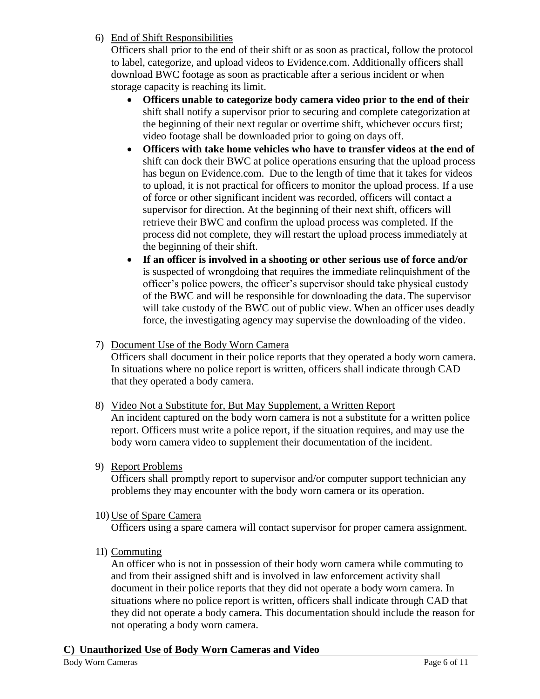#### 6) End of Shift Responsibilities

Officers shall prior to the end of their shift or as soon as practical, follow the protocol to label, categorize, and upload videos to Evidence.com. Additionally officers shall download BWC footage as soon as practicable after a serious incident or when storage capacity is reaching its limit.

- **Officers unable to categorize body camera video prior to the end of their**  shift shall notify a supervisor prior to securing and complete categorization at the beginning of their next regular or overtime shift, whichever occurs first; video footage shall be downloaded prior to going on days off.
- **Officers with take home vehicles who have to transfer videos at the end of** shift can dock their BWC at police operations ensuring that the upload process has begun on Evidence.com. Due to the length of time that it takes for videos to upload, it is not practical for officers to monitor the upload process. If a use of force or other significant incident was recorded, officers will contact a supervisor for direction. At the beginning of their next shift, officers will retrieve their BWC and confirm the upload process was completed. If the process did not complete, they will restart the upload process immediately at the beginning of their shift.
- **If an officer is involved in a shooting or other serious use of force and/or**  is suspected of wrongdoing that requires the immediate relinquishment of the officer's police powers, the officer's supervisor should take physical custody of the BWC and will be responsible for downloading the data. The supervisor will take custody of the BWC out of public view. When an officer uses deadly force, the investigating agency may supervise the downloading of the video.

## 7) Document Use of the Body Worn Camera

Officers shall document in their police reports that they operated a body worn camera. In situations where no police report is written, officers shall indicate through CAD that they operated a body camera.

- 8) Video Not a Substitute for, But May Supplement, a Written Report An incident captured on the body worn camera is not a substitute for a written police report. Officers must write a police report, if the situation requires, and may use the body worn camera video to supplement their documentation of the incident.
- 9) Report Problems

Officers shall promptly report to supervisor and/or computer support technician any problems they may encounter with the body worn camera or its operation.

#### 10) Use of Spare Camera

Officers using a spare camera will contact supervisor for proper camera assignment.

11) Commuting

An officer who is not in possession of their body worn camera while commuting to and from their assigned shift and is involved in law enforcement activity shall document in their police reports that they did not operate a body worn camera. In situations where no police report is written, officers shall indicate through CAD that they did not operate a body camera. This documentation should include the reason for not operating a body worn camera.

#### **C) Unauthorized Use of Body Worn Cameras and Video**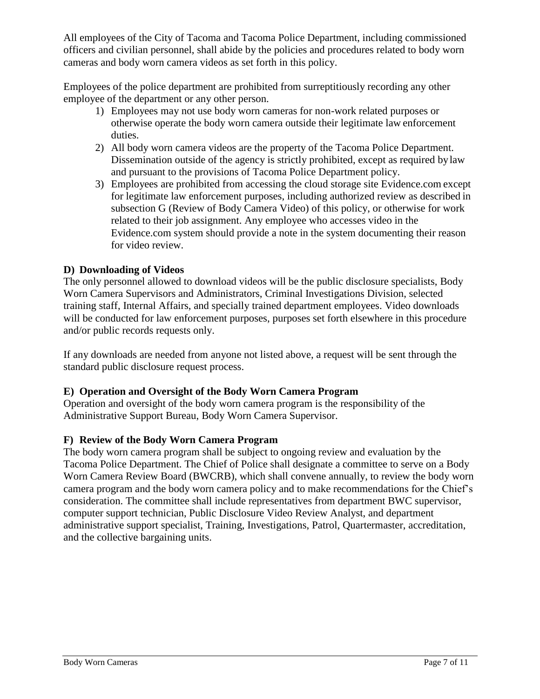All employees of the City of Tacoma and Tacoma Police Department, including commissioned officers and civilian personnel, shall abide by the policies and procedures related to body worn cameras and body worn camera videos as set forth in this policy.

Employees of the police department are prohibited from surreptitiously recording any other employee of the department or any other person.

- 1) Employees may not use body worn cameras for non-work related purposes or otherwise operate the body worn camera outside their legitimate law enforcement duties.
- 2) All body worn camera videos are the property of the Tacoma Police Department. Dissemination outside of the agency is strictly prohibited, except as required bylaw and pursuant to the provisions of Tacoma Police Department policy.
- 3) Employees are prohibited from accessing the cloud storage site Evidence.com except for legitimate law enforcement purposes, including authorized review as described in subsection G (Review of Body Camera Video) of this policy, or otherwise for work related to their job assignment. Any employee who accesses video in the Evidence.com system should provide a note in the system documenting their reason for video review.

## **D) Downloading of Videos**

The only personnel allowed to download videos will be the public disclosure specialists, Body Worn Camera Supervisors and Administrators, Criminal Investigations Division, selected training staff, Internal Affairs, and specially trained department employees. Video downloads will be conducted for law enforcement purposes, purposes set forth elsewhere in this procedure and/or public records requests only.

If any downloads are needed from anyone not listed above, a request will be sent through the standard public disclosure request process.

#### **E) Operation and Oversight of the Body Worn Camera Program**

Operation and oversight of the body worn camera program is the responsibility of the Administrative Support Bureau, Body Worn Camera Supervisor.

#### **F) Review of the Body Worn Camera Program**

The body worn camera program shall be subject to ongoing review and evaluation by the Tacoma Police Department. The Chief of Police shall designate a committee to serve on a Body Worn Camera Review Board (BWCRB), which shall convene annually, to review the body worn camera program and the body worn camera policy and to make recommendations for the Chief's consideration. The committee shall include representatives from department BWC supervisor, computer support technician, Public Disclosure Video Review Analyst, and department administrative support specialist, Training, Investigations, Patrol, Quartermaster, accreditation, and the collective bargaining units.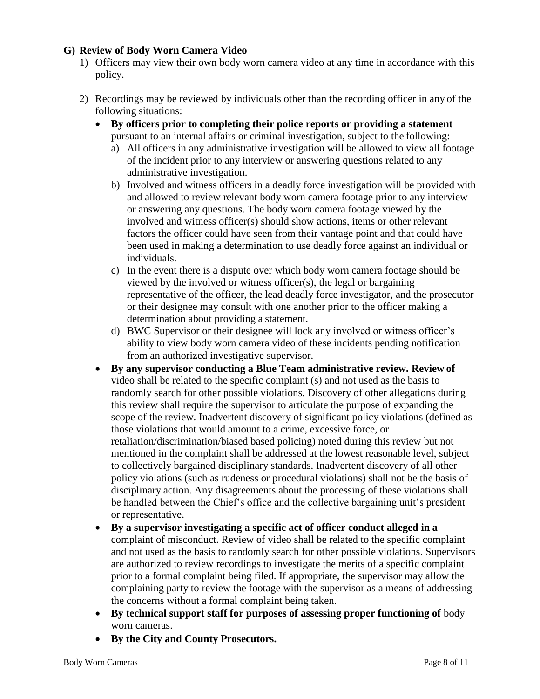#### **G) Review of Body Worn Camera Video**

- 1) Officers may view their own body worn camera video at any time in accordance with this policy.
- 2) Recordings may be reviewed by individuals other than the recording officer in any of the following situations:
	- **By officers prior to completing their police reports or providing a statement**  pursuant to an internal affairs or criminal investigation, subject to the following:
		- a) All officers in any administrative investigation will be allowed to view all footage of the incident prior to any interview or answering questions related to any administrative investigation.
		- b) Involved and witness officers in a deadly force investigation will be provided with and allowed to review relevant body worn camera footage prior to any interview or answering any questions. The body worn camera footage viewed by the involved and witness officer(s) should show actions, items or other relevant factors the officer could have seen from their vantage point and that could have been used in making a determination to use deadly force against an individual or individuals.
		- c) In the event there is a dispute over which body worn camera footage should be viewed by the involved or witness officer(s), the legal or bargaining representative of the officer, the lead deadly force investigator, and the prosecutor or their designee may consult with one another prior to the officer making a determination about providing a statement.
		- d) BWC Supervisor or their designee will lock any involved or witness officer's ability to view body worn camera video of these incidents pending notification from an authorized investigative supervisor.
	- **By any supervisor conducting a Blue Team administrative review. Review of**  video shall be related to the specific complaint (s) and not used as the basis to randomly search for other possible violations. Discovery of other allegations during this review shall require the supervisor to articulate the purpose of expanding the scope of the review. Inadvertent discovery of significant policy violations (defined as those violations that would amount to a crime, excessive force, or retaliation/discrimination/biased based policing) noted during this review but not mentioned in the complaint shall be addressed at the lowest reasonable level, subject to collectively bargained disciplinary standards. Inadvertent discovery of all other policy violations (such as rudeness or procedural violations) shall not be the basis of disciplinary action. Any disagreements about the processing of these violations shall be handled between the Chief's office and the collective bargaining unit's president or representative.
	- **By a supervisor investigating a specific act of officer conduct alleged in a**  complaint of misconduct. Review of video shall be related to the specific complaint and not used as the basis to randomly search for other possible violations. Supervisors are authorized to review recordings to investigate the merits of a specific complaint prior to a formal complaint being filed. If appropriate, the supervisor may allow the complaining party to review the footage with the supervisor as a means of addressing the concerns without a formal complaint being taken.
	- **By technical support staff for purposes of assessing proper functioning of** body worn cameras.
	- **By the City and County Prosecutors.**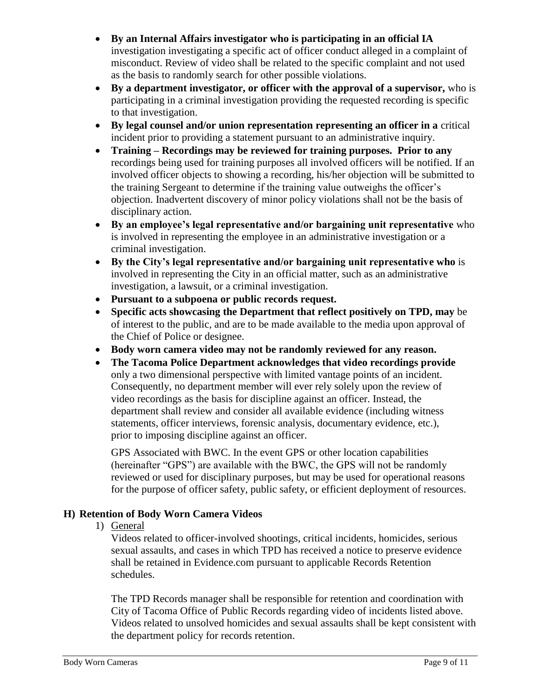- **By an Internal Affairs investigator who is participating in an official IA**  investigation investigating a specific act of officer conduct alleged in a complaint of misconduct. Review of video shall be related to the specific complaint and not used as the basis to randomly search for other possible violations.
- **By a department investigator, or officer with the approval of a supervisor,** who is participating in a criminal investigation providing the requested recording is specific to that investigation.
- **By legal counsel and/or union representation representing an officer in a** critical incident prior to providing a statement pursuant to an administrative inquiry.
- **Training – Recordings may be reviewed for training purposes. Prior to any**  recordings being used for training purposes all involved officers will be notified. If an involved officer objects to showing a recording, his/her objection will be submitted to the training Sergeant to determine if the training value outweighs the officer's objection. Inadvertent discovery of minor policy violations shall not be the basis of disciplinary action.
- **By an employee's legal representative and/or bargaining unit representative** who is involved in representing the employee in an administrative investigation or a criminal investigation.
- **By the City's legal representative and/or bargaining unit representative who** is involved in representing the City in an official matter, such as an administrative investigation, a lawsuit, or a criminal investigation.
- **Pursuant to a subpoena or public records request.**
- **Specific acts showcasing the Department that reflect positively on TPD, may** be of interest to the public, and are to be made available to the media upon approval of the Chief of Police or designee.
- **Body worn camera video may not be randomly reviewed for any reason.**
- **The Tacoma Police Department acknowledges that video recordings provide**  only a two dimensional perspective with limited vantage points of an incident. Consequently, no department member will ever rely solely upon the review of video recordings as the basis for discipline against an officer. Instead, the department shall review and consider all available evidence (including witness statements, officer interviews, forensic analysis, documentary evidence, etc.), prior to imposing discipline against an officer.

GPS Associated with BWC. In the event GPS or other location capabilities (hereinafter "GPS") are available with the BWC, the GPS will not be randomly reviewed or used for disciplinary purposes, but may be used for operational reasons for the purpose of officer safety, public safety, or efficient deployment of resources.

# **H) Retention of Body Worn Camera Videos**

1) General

Videos related to officer-involved shootings, critical incidents, homicides, serious sexual assaults, and cases in which TPD has received a notice to preserve evidence shall be retained in Evidence.com pursuant to applicable Records Retention schedules.

The TPD Records manager shall be responsible for retention and coordination with City of Tacoma Office of Public Records regarding video of incidents listed above. Videos related to unsolved homicides and sexual assaults shall be kept consistent with the department policy for records retention.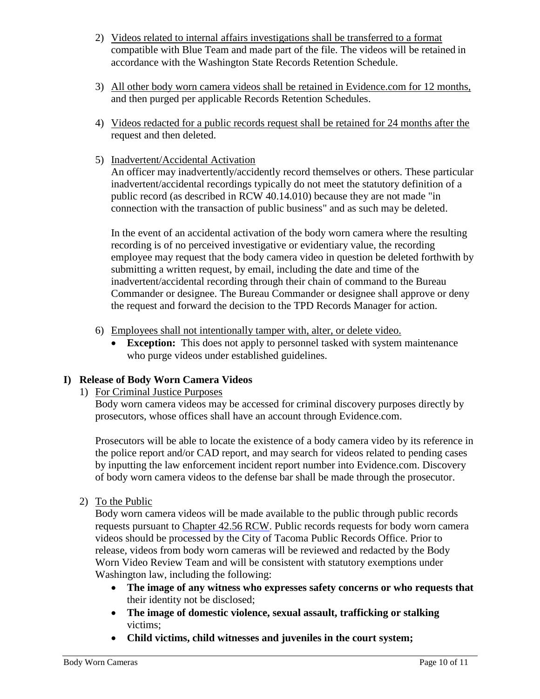- 2) Videos related to internal affairs investigations shall be transferred to a format compatible with Blue Team and made part of the file. The videos will be retained in accordance with the Washington State Records Retention Schedule.
- 3) All other body worn camera videos shall be retained in Evidence.com for 12 months, and then purged per applicable Records Retention Schedules.
- 4) Videos redacted for a public records request shall be retained for 24 months after the request and then deleted.
- 5) Inadvertent/Accidental Activation

An officer may inadvertently/accidently record themselves or others. These particular inadvertent/accidental recordings typically do not meet the statutory definition of a public record (as described in RCW 40.14.010) because they are not made "in connection with the transaction of public business" and as such may be deleted.

In the event of an accidental activation of the body worn camera where the resulting recording is of no perceived investigative or evidentiary value, the recording employee may request that the body camera video in question be deleted forthwith by submitting a written request, by email, including the date and time of the inadvertent/accidental recording through their chain of command to the Bureau Commander or designee. The Bureau Commander or designee shall approve or deny the request and forward the decision to the TPD Records Manager for action.

- 6) Employees shall not intentionally tamper with, alter, or delete video.
	- **Exception:** This does not apply to personnel tasked with system maintenance who purge videos under established guidelines.

#### **I) Release of Body Worn Camera Videos**

1) For Criminal Justice Purposes

Body worn camera videos may be accessed for criminal discovery purposes directly by prosecutors, whose offices shall have an account through Evidence.com.

Prosecutors will be able to locate the existence of a body camera video by its reference in the police report and/or CAD report, and may search for videos related to pending cases by inputting the law enforcement incident report number into Evidence.com. Discovery of body worn camera videos to the defense bar shall be made through the prosecutor.

2) To the Public

Body worn camera videos will be made available to the public through public records requests pursuant to [Chapter 42.56 RCW.](https://apps.leg.wa.gov/rcw/default.aspx?cite=42.56) Public records requests for body worn camera videos should be processed by the City of Tacoma Public Records Office. Prior to release, videos from body worn cameras will be reviewed and redacted by the Body Worn Video Review Team and will be consistent with statutory exemptions under Washington law, including the following:

- **The image of any witness who expresses safety concerns or who requests that**  their identity not be disclosed;
- **The image of domestic violence, sexual assault, trafficking or stalking**  victims;
- **Child victims, child witnesses and juveniles in the court system;**